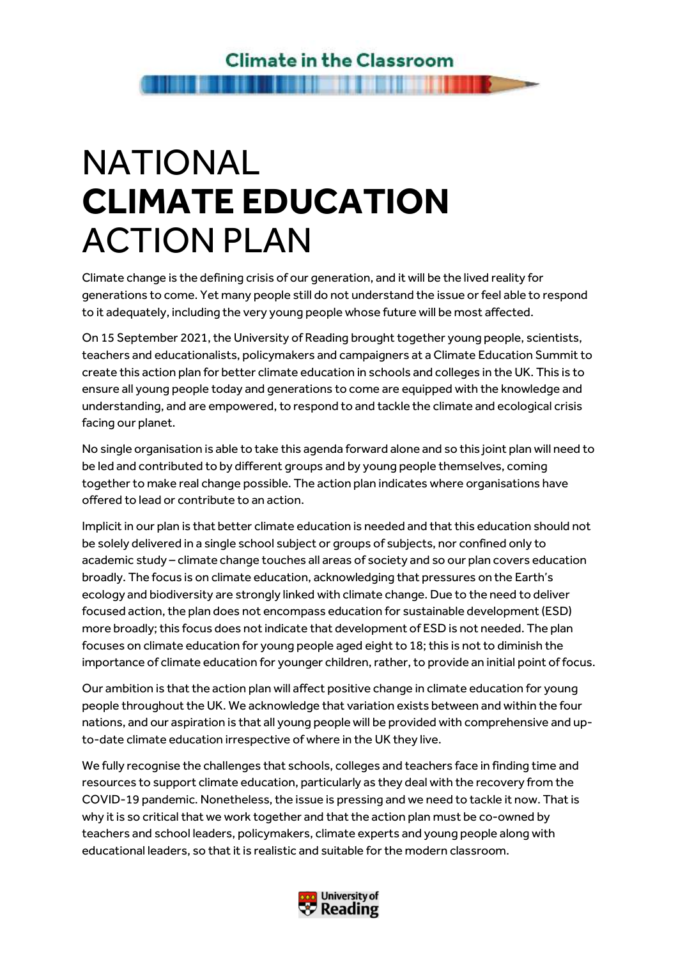# NATIONAL CLIMATE EDUCATION ACTION PLAN

Climate change is the defining crisis of our generation, and it will be the lived reality for generations to come. Yet many people still do not understand the issue or feel able to respond to it adequately, including the very young people whose future will be most affected.

On 15 September 2021, the University of Reading brought together young people, scientists, teachers and educationalists, policymakers and campaigners at a Climate Education Summit to create this action plan for better climate education in schools and colleges in the UK. This is to ensure all young people today and generations to come are equipped with the knowledge and understanding, and are empowered, to respond to and tackle the climate and ecological crisis facing our planet.

No single organisation is able to take this agenda forward alone and so this joint plan will need to be led and contributed to by different groups and by young people themselves, coming together to make real change possible. The action plan indicates where organisations have offered to lead or contribute to an action.

Implicit in our plan is that better climate education is needed and that this education should not be solely delivered in a single school subject or groups of subjects, nor confined only to academic study – climate change touches all areas of society and so our plan covers education broadly. The focus is on climate education, acknowledging that pressures on the Earth's ecology and biodiversity are strongly linked with climate change. Due to the need to deliver focused action, the plan does not encompass education for sustainable development (ESD) more broadly; this focus does not indicate that development of ESD is not needed. The plan focuses on climate education for young people aged eight to 18; this is not to diminish the importance of climate education for younger children, rather, to provide an initial point of focus.

Our ambition is that the action plan will affect positive change in climate education for young people throughout the UK. We acknowledge that variation exists between and within the four nations, and our aspiration is that all young people will be provided with comprehensive and upto-date climate education irrespective of where in the UK they live.

We fully recognise the challenges that schools, colleges and teachers face in finding time and resources to support climate education, particularly as they deal with the recovery from the COVID-19 pandemic. Nonetheless, the issue is pressing and we need to tackle it now. That is why it is so critical that we work together and that the action plan must be co-owned by teachers and school leaders, policymakers, climate experts and young people along with educational leaders, so that it is realistic and suitable for the modern classroom.

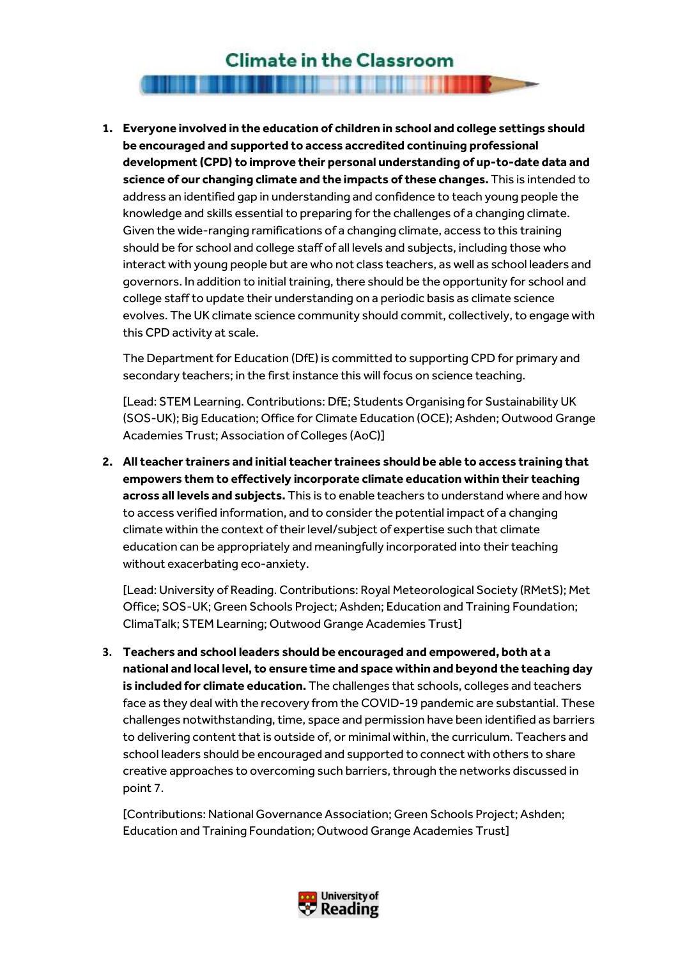#### **Climate in the Classroom**

<u>The Common Section of the Common Section of the Common Section of the Common Section of the Common Section of</u>

#### 1. Everyone involved in the education of children in school and college settings should be encouraged and supported to access accredited continuing professional development (CPD) to improve their personal understanding of up-to-date data and science of our changing climate and the impacts of these changes. This is intended to address an identified gap in understanding and confidence to teach young people the knowledge and skills essential to preparing for the challenges of a changing climate. Given the wide-ranging ramifications of a changing climate, access to this training should be for school and college staff of all levels and subjects, including those who interact with young people but are who not class teachers, as well as school leaders and governors. In addition to initial training, there should be the opportunity for school and college staff to update their understanding on a periodic basis as climate science evolves. The UK climate science community should commit, collectively, to engage with this CPD activity at scale.

The Department for Education (DfE) is committed to supporting CPD for primary and secondary teachers; in the first instance this will focus on science teaching.

[Lead: STEM Learning. Contributions: DfE; Students Organising for Sustainability UK (SOS-UK); Big Education; Office for Climate Education (OCE); Ashden; Outwood Grange Academies Trust; Association of Colleges (AoC)]

2. All teacher trainers and initial teacher trainees should be able to access training that empowers them to effectively incorporate climate education within their teaching across all levels and subjects. This is to enable teachers to understand where and how to access verified information, and to consider the potential impact of a changing climate within the context of their level/subject of expertise such that climate education can be appropriately and meaningfully incorporated into their teaching without exacerbating eco-anxiety.

[Lead: University of Reading. Contributions: Royal Meteorological Society (RMetS); Met Office; SOS-UK; Green Schools Project; Ashden; Education and Training Foundation; ClimaTalk; STEM Learning; Outwood Grange Academies Trust]

3. Teachers and school leaders should be encouraged and empowered, both at a national and local level, to ensure time and space within and beyond the teaching day is included for climate education. The challenges that schools, colleges and teachers face as they deal with the recovery from the COVID-19 pandemic are substantial. These challenges notwithstanding, time, space and permission have been identified as barriers to delivering content that is outside of, or minimal within, the curriculum. Teachers and school leaders should be encouraged and supported to connect with others to share creative approaches to overcoming such barriers, through the networks discussed in point 7.

[Contributions: National Governance Association; Green Schools Project; Ashden; Education and Training Foundation; Outwood Grange Academies Trust]

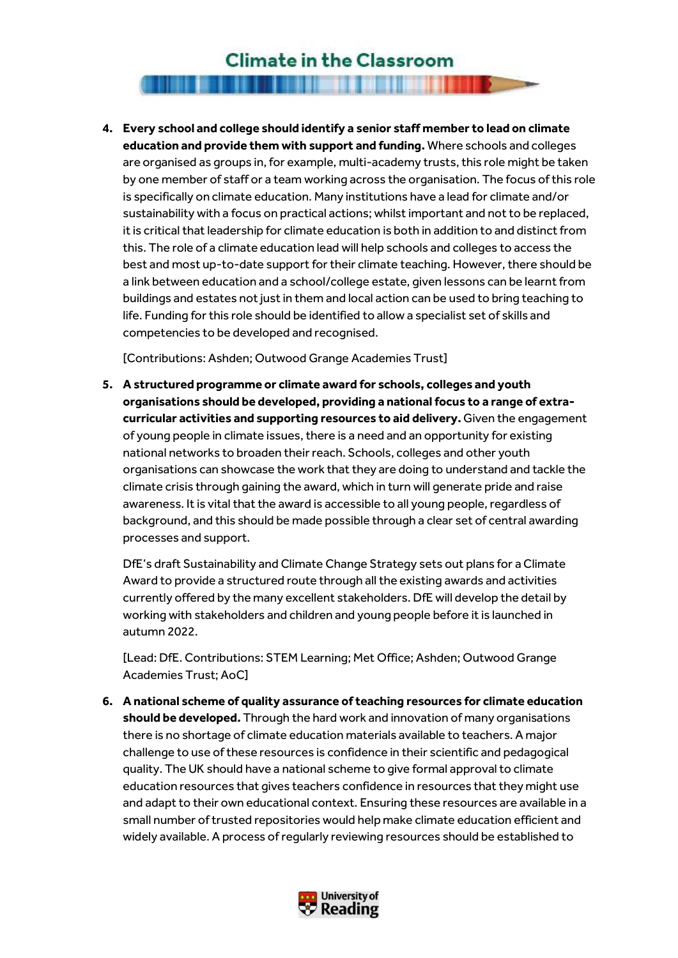## **Climate in the Classroom**

## <u>The Common Second Common Second Common Second Common Second Common Second Common Second Common Second Common Second</u>

4. Every school and college should identify a senior staff member to lead on climate education and provide them with support and funding. Where schools and colleges are organised as groups in, for example, multi-academy trusts, this role might be taken by one member of staff or a team working across the organisation. The focus of this role is specifically on climate education. Many institutions have a lead for climate and/or sustainability with a focus on practical actions; whilst important and not to be replaced, it is critical that leadership for climate education is both in addition to and distinct from this. The role of a climate education lead will help schools and colleges to access the best and most up-to-date support for their climate teaching. However, there should be a link between education and a school/college estate, given lessons can be learnt from buildings and estates not just in them and local action can be used to bring teaching to life. Funding for this role should be identified to allow a specialist set of skills and competencies to be developed and recognised.

[Contributions: Ashden; Outwood Grange Academies Trust]

5. A structured programme or climate award for schools, colleges and youth organisations should be developed, providing a national focus to a range of extracurricular activities and supporting resources to aid delivery. Given the engagement of young people in climate issues, there is a need and an opportunity for existing national networks to broaden their reach. Schools, colleges and other youth organisations can showcase the work that they are doing to understand and tackle the climate crisis through gaining the award, which in turn will generate pride and raise awareness. It is vital that the award is accessible to all young people, regardless of background, and this should be made possible through a clear set of central awarding processes and support.

DfE's draft Sustainability and Climate Change Strategy sets out plans for a Climate Award to provide a structured route through all the existing awards and activities currently offered by the many excellent stakeholders. DfE will develop the detail by working with stakeholders and children and young people before it is launched in autumn 2022.

[Lead: DfE. Contributions: STEM Learning; Met Office; Ashden; Outwood Grange Academies Trust; AoC]

6. A national scheme of quality assurance of teaching resources for climate education should be developed. Through the hard work and innovation of many organisations there is no shortage of climate education materials available to teachers. A major challenge to use of these resources is confidence in their scientific and pedagogical quality. The UK should have a national scheme to give formal approval to climate education resources that gives teachers confidence in resources that they might use and adapt to their own educational context. Ensuring these resources are available in a small number of trusted repositories would help make climate education efficient and widely available. A process of regularly reviewing resources should be established to

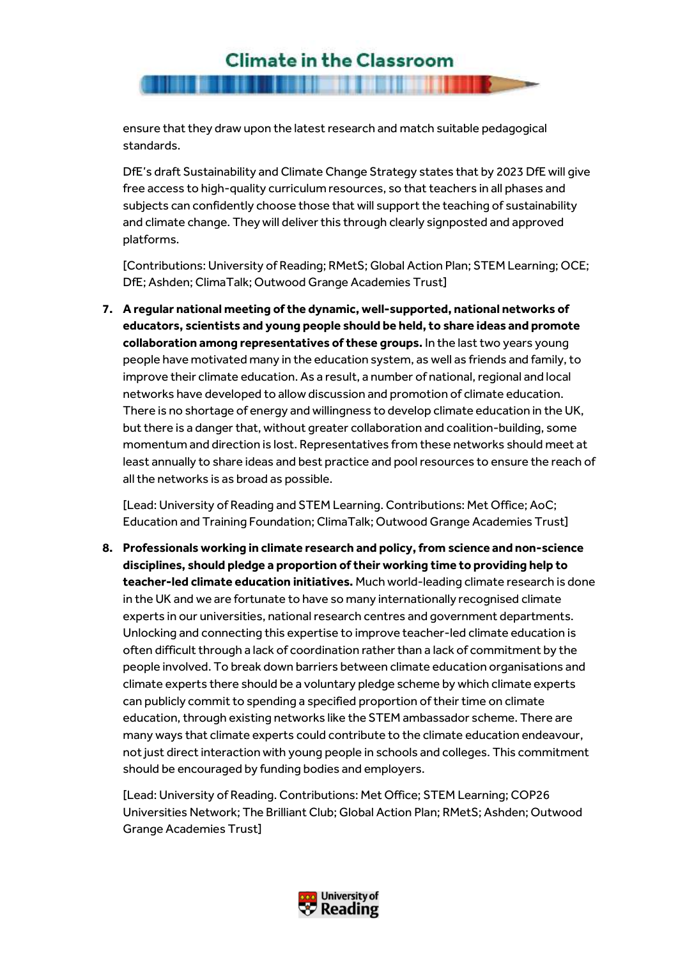### **Climate in the Classroom**

ensure that they draw upon the latest research and match suitable pedagogical standards.

DfE's draft Sustainability and Climate Change Strategy states that by 2023 DfE will give free access to high-quality curriculum resources, so that teachers in all phases and subjects can confidently choose those that will support the teaching of sustainability and climate change. They will deliver this through clearly signposted and approved platforms.

[Contributions: University of Reading; RMetS; Global Action Plan; STEM Learning; OCE; DfE; Ashden; ClimaTalk; Outwood Grange Academies Trust]

7. A regular national meeting of the dynamic, well-supported, national networks of educators, scientists and young people should be held, to share ideas and promote collaboration among representatives of these groups. In the last two years young people have motivated many in the education system, as well as friends and family, to improve their climate education. As a result, a number of national, regional and local networks have developed to allow discussion and promotion of climate education. There is no shortage of energy and willingness to develop climate education in the UK, but there is a danger that, without greater collaboration and coalition-building, some momentum and direction is lost. Representatives from these networks should meet at least annually to share ideas and best practice and pool resources to ensure the reach of all the networks is as broad as possible.

[Lead: University of Reading and STEM Learning. Contributions: Met Office; AoC; Education and Training Foundation; ClimaTalk; Outwood Grange Academies Trust]

8. Professionals working in climate research and policy, from science and non-science disciplines, should pledge a proportion of their working time to providing help to teacher-led climate education initiatives. Much world-leading climate research is done in the UK and we are fortunate to have so many internationally recognised climate experts in our universities, national research centres and government departments. Unlocking and connecting this expertise to improve teacher-led climate education is often difficult through a lack of coordination rather than a lack of commitment by the people involved. To break down barriers between climate education organisations and climate experts there should be a voluntary pledge scheme by which climate experts can publicly commit to spending a specified proportion of their time on climate education, through existing networks like the STEM ambassador scheme. There are many ways that climate experts could contribute to the climate education endeavour, not just direct interaction with young people in schools and colleges. This commitment should be encouraged by funding bodies and employers.

[Lead: University of Reading. Contributions: Met Office; STEM Learning; COP26 Universities Network; The Brilliant Club; Global Action Plan; RMetS; Ashden; Outwood Grange Academies Trust]